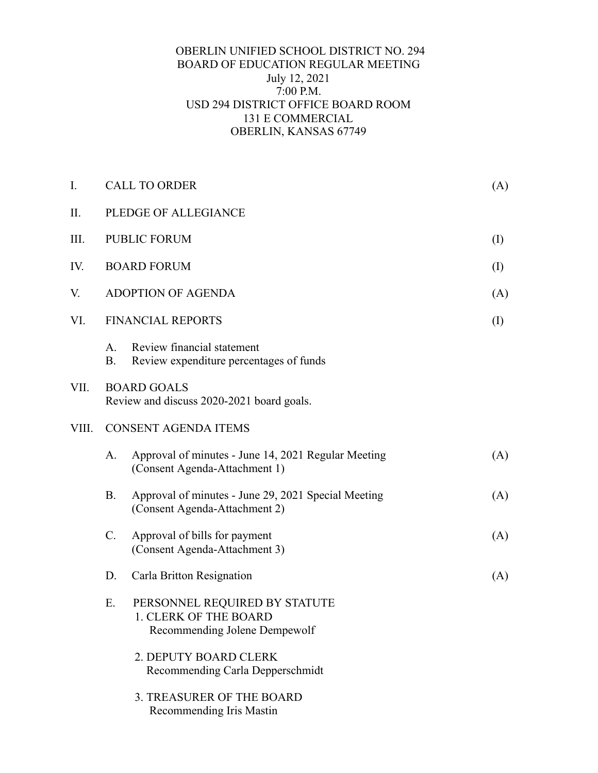## OBERLIN UNIFIED SCHOOL DISTRICT NO. 294 BOARD OF EDUCATION REGULAR MEETING July 12, 2021 7:00 P.M. USD 294 DISTRICT OFFICE BOARD ROOM 131 E COMMERCIAL OBERLIN, KANSAS 67749

| I.    | <b>CALL TO ORDER</b>                                            |                                                                                         | (A)       |
|-------|-----------------------------------------------------------------|-----------------------------------------------------------------------------------------|-----------|
| П.    | PLEDGE OF ALLEGIANCE                                            |                                                                                         |           |
| Ш.    |                                                                 | <b>PUBLIC FORUM</b>                                                                     | $\rm (I)$ |
| IV.   |                                                                 | <b>BOARD FORUM</b>                                                                      | $\rm (I)$ |
| V.    |                                                                 | <b>ADOPTION OF AGENDA</b>                                                               | (A)       |
| VI.   | <b>FINANCIAL REPORTS</b>                                        |                                                                                         |           |
|       | A.<br><b>B.</b>                                                 | Review financial statement<br>Review expenditure percentages of funds                   |           |
| VII.  | <b>BOARD GOALS</b><br>Review and discuss 2020-2021 board goals. |                                                                                         |           |
| VIII. | <b>CONSENT AGENDA ITEMS</b>                                     |                                                                                         |           |
|       | A.                                                              | Approval of minutes - June 14, 2021 Regular Meeting<br>(Consent Agenda-Attachment 1)    | (A)       |
|       | <b>B.</b>                                                       | Approval of minutes - June 29, 2021 Special Meeting<br>(Consent Agenda-Attachment 2)    | (A)       |
|       | C.                                                              | Approval of bills for payment<br>(Consent Agenda-Attachment 3)                          | (A)       |
|       | D.                                                              | Carla Britton Resignation                                                               | (A)       |
|       | E.                                                              | PERSONNEL REQUIRED BY STATUTE<br>1. CLERK OF THE BOARD<br>Recommending Jolene Dempewolf |           |
|       |                                                                 | 2. DEPUTY BOARD CLERK<br>Recommending Carla Depperschmidt                               |           |
|       |                                                                 | 3. TREASURER OF THE BOARD<br>Recommending Iris Mastin                                   |           |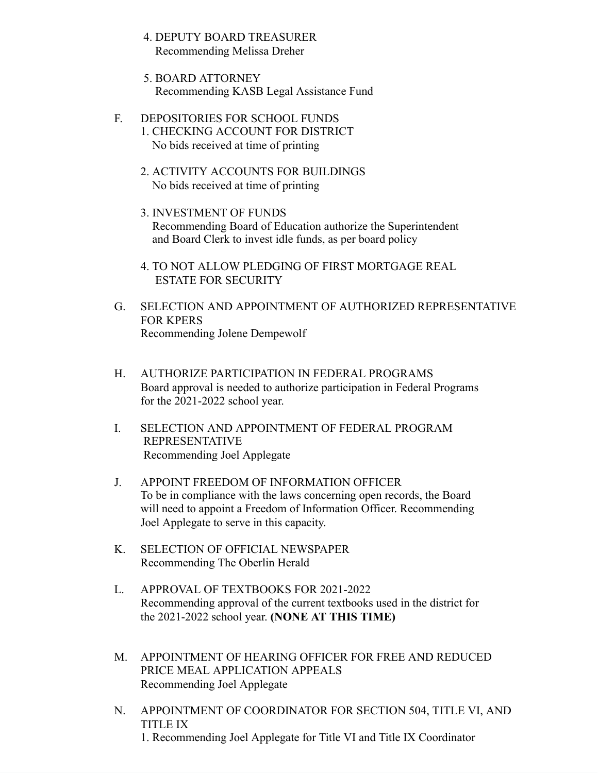- 4. DEPUTY BOARD TREASURER Recommending Melissa Dreher
- 5. BOARD ATTORNEY Recommending KASB Legal Assistance Fund
- F. DEPOSITORIES FOR SCHOOL FUNDS
	- 1. CHECKING ACCOUNT FOR DISTRICT No bids received at time of printing
	- 2. ACTIVITY ACCOUNTS FOR BUILDINGS No bids received at time of printing
	- 3. INVESTMENT OF FUNDS Recommending Board of Education authorize the Superintendent and Board Clerk to invest idle funds, as per board policy
	- 4. TO NOT ALLOW PLEDGING OF FIRST MORTGAGE REAL ESTATE FOR SECURITY
- G. SELECTION AND APPOINTMENT OF AUTHORIZED REPRESENTATIVE FOR KPERS Recommending Jolene Dempewolf
- H. AUTHORIZE PARTICIPATION IN FEDERAL PROGRAMS Board approval is needed to authorize participation in Federal Programs for the 2021-2022 school year.
- I. SELECTION AND APPOINTMENT OF FEDERAL PROGRAM REPRESENTATIVE Recommending Joel Applegate
- J. APPOINT FREEDOM OF INFORMATION OFFICER To be in compliance with the laws concerning open records, the Board will need to appoint a Freedom of Information Officer. Recommending Joel Applegate to serve in this capacity.
- K. SELECTION OF OFFICIAL NEWSPAPER Recommending The Oberlin Herald
- L. APPROVAL OF TEXTBOOKS FOR 2021-2022 Recommending approval of the current textbooks used in the district for the 2021-2022 school year. **(NONE AT THIS TIME)**
- M. APPOINTMENT OF HEARING OFFICER FOR FREE AND REDUCED PRICE MEAL APPLICATION APPEALS Recommending Joel Applegate
- N. APPOINTMENT OF COORDINATOR FOR SECTION 504, TITLE VI, AND TITLE IX 1. Recommending Joel Applegate for Title VI and Title IX Coordinator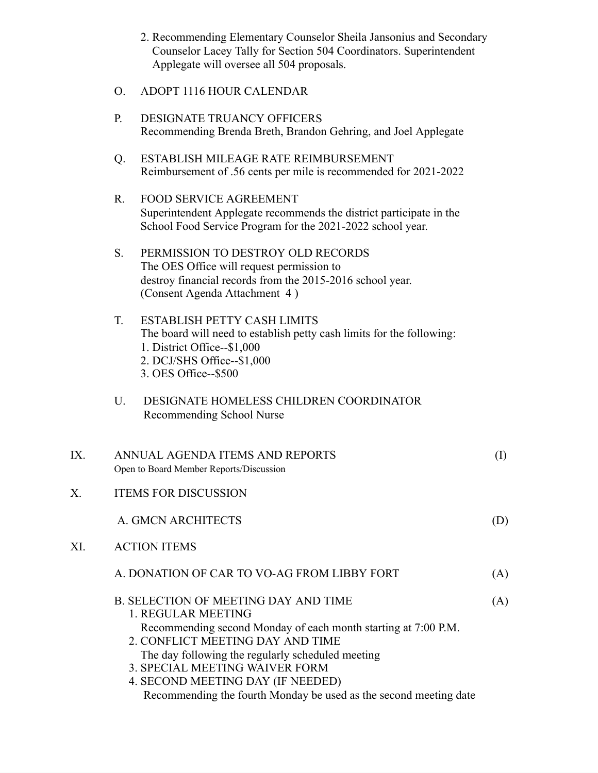- 2. Recommending Elementary Counselor Sheila Jansonius and Secondary Counselor Lacey Tally for Section 504 Coordinators. Superintendent Applegate will oversee all 504 proposals.
- O. ADOPT 1116 HOUR CALENDAR
- P. DESIGNATE TRUANCY OFFICERS Recommending Brenda Breth, Brandon Gehring, and Joel Applegate
- Q. ESTABLISH MILEAGE RATE REIMBURSEMENT Reimbursement of .56 cents per mile is recommended for 2021-2022
- R. FOOD SERVICE AGREEMENT Superintendent Applegate recommends the district participate in the School Food Service Program for the 2021-2022 school year.
- S. PERMISSION TO DESTROY OLD RECORDS The OES Office will request permission to destroy financial records from the 2015-2016 school year. (Consent Agenda Attachment 4 )

| $\mathbf{T}$ | ESTABLISH PETTY CASH LIMITS                                           |
|--------------|-----------------------------------------------------------------------|
|              | The board will need to establish petty cash limits for the following: |
|              | 1. District Office--\$1,000                                           |
|              | 2. DCJ/SHS Office--\$1,000                                            |
|              | 3. OES Office--\$500                                                  |

U. DESIGNATE HOMELESS CHILDREN COORDINATOR Recommending School Nurse

| IX. | ANNUAL AGENDA ITEMS AND REPORTS<br>Open to Board Member Reports/Discussion                         | (1) |
|-----|----------------------------------------------------------------------------------------------------|-----|
| X.  | <b>ITEMS FOR DISCUSSION</b>                                                                        |     |
|     | A. GMCN ARCHITECTS                                                                                 | (D) |
| XI. | <b>ACTION ITEMS</b>                                                                                |     |
|     | A. DONATION OF CAR TO VO-AG FROM LIBBY FORT                                                        | (A) |
|     | <b>B. SELECTION OF MEETING DAY AND TIME</b><br>1. REGULAR MEETING                                  | (A) |
|     | Recommending second Monday of each month starting at 7:00 P.M.<br>2. CONFLICT MEETING DAY AND TIME |     |
|     | The day following the regularly scheduled meeting                                                  |     |
|     | 3. SPECIAL MEETING WAIVER FORM                                                                     |     |
|     | 4. SECOND MEETING DAY (IF NEEDED)                                                                  |     |
|     | Recommending the fourth Monday be used as the second meeting date                                  |     |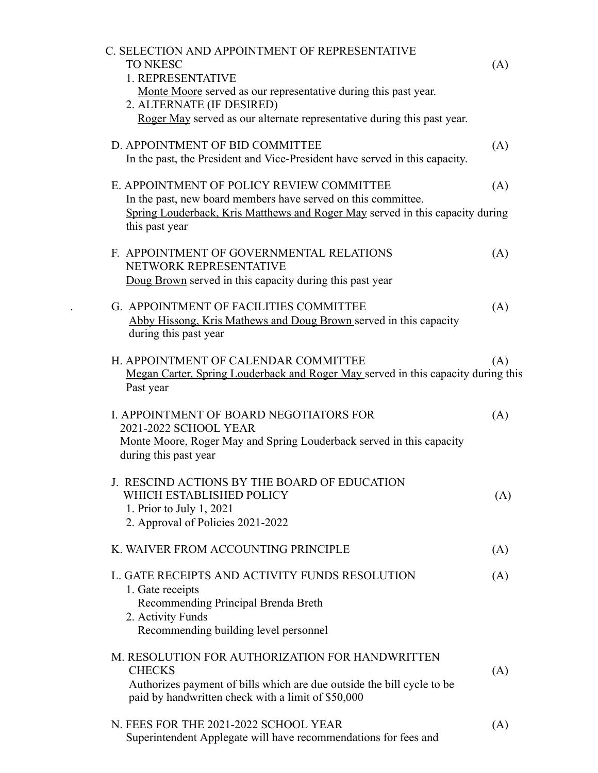| C. SELECTION AND APPOINTMENT OF REPRESENTATIVE                                                  |     |
|-------------------------------------------------------------------------------------------------|-----|
| <b>TO NKESC</b><br>1. REPRESENTATIVE                                                            | (A) |
| Monte Moore served as our representative during this past year.                                 |     |
| 2. ALTERNATE (IF DESIRED)                                                                       |     |
| Roger May served as our alternate representative during this past year.                         |     |
| D. APPOINTMENT OF BID COMMITTEE                                                                 | (A) |
| In the past, the President and Vice-President have served in this capacity.                     |     |
| E. APPOINTMENT OF POLICY REVIEW COMMITTEE                                                       | (A) |
| In the past, new board members have served on this committee.                                   |     |
| Spring Louderback, Kris Matthews and Roger May served in this capacity during<br>this past year |     |
| F. APPOINTMENT OF GOVERNMENTAL RELATIONS                                                        | (A) |
| NETWORK REPRESENTATIVE                                                                          |     |
| Doug Brown served in this capacity during this past year                                        |     |
| G. APPOINTMENT OF FACILITIES COMMITTEE                                                          | (A) |
| Abby Hissong, Kris Mathews and Doug Brown served in this capacity<br>during this past year      |     |
| H. APPOINTMENT OF CALENDAR COMMITTEE                                                            | (A) |
| Megan Carter, Spring Louderback and Roger May served in this capacity during this<br>Past year  |     |
| I. APPOINTMENT OF BOARD NEGOTIATORS FOR                                                         | (A) |
| 2021-2022 SCHOOL YEAR                                                                           |     |
| Monte Moore, Roger May and Spring Louderback served in this capacity<br>during this past year   |     |
| J. RESCIND ACTIONS BY THE BOARD OF EDUCATION                                                    |     |
| WHICH ESTABLISHED POLICY                                                                        | (A) |
| 1. Prior to July 1, 2021                                                                        |     |
| 2. Approval of Policies 2021-2022                                                               |     |
| K. WAIVER FROM ACCOUNTING PRINCIPLE                                                             | (A) |
| L. GATE RECEIPTS AND ACTIVITY FUNDS RESOLUTION                                                  | (A) |
| 1. Gate receipts                                                                                |     |
| Recommending Principal Brenda Breth                                                             |     |
| 2. Activity Funds                                                                               |     |
| Recommending building level personnel                                                           |     |
| M. RESOLUTION FOR AUTHORIZATION FOR HANDWRITTEN<br><b>CHECKS</b>                                |     |
| Authorizes payment of bills which are due outside the bill cycle to be                          | (A) |
| paid by handwritten check with a limit of \$50,000                                              |     |
| N. FEES FOR THE 2021-2022 SCHOOL YEAR                                                           | (A) |
| Superintendent Applegate will have recommendations for fees and                                 |     |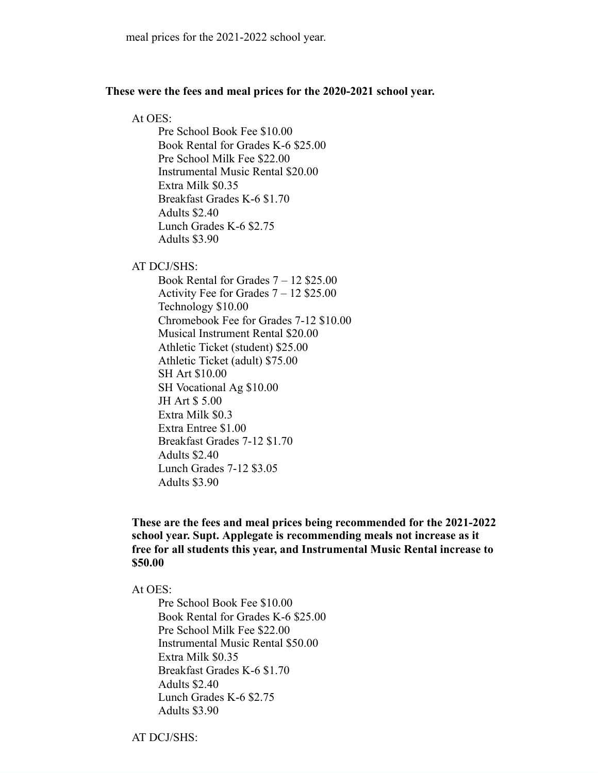## **These were the fees and meal prices for the 2020-2021 school year.**

## At OES:

Pre School Book Fee \$10.00 Book Rental for Grades K-6 \$25.00 Pre School Milk Fee \$22.00 Instrumental Music Rental \$20.00 Extra Milk \$0.35 Breakfast Grades K-6 \$1.70 Adults \$2.40 Lunch Grades K-6 \$2.75 Adults \$3.90

AT DCJ/SHS:

Book Rental for Grades 7 – 12 \$25.00 Activity Fee for Grades 7 – 12 \$25.00 Technology \$10.00 Chromebook Fee for Grades 7-12 \$10.00 Musical Instrument Rental \$20.00 Athletic Ticket (student) \$25.00 Athletic Ticket (adult) \$75.00 SH Art \$10.00 SH Vocational Ag \$10.00 JH Art \$ 5.00 Extra Milk \$0.3 Extra Entree \$1.00 Breakfast Grades 7-12 \$1.70 Adults \$2.40 Lunch Grades 7-12 \$3.05 Adults \$3.90

**These are the fees and meal prices being recommended for the 2021-2022 school year. Supt. Applegate is recommending meals not increase as it free for all students this year, and Instrumental Music Rental increase to \$50.00**

At OES:

Pre School Book Fee \$10.00 Book Rental for Grades K-6 \$25.00 Pre School Milk Fee \$22.00 Instrumental Music Rental \$50.00 Extra Milk \$0.35 Breakfast Grades K-6 \$1.70 Adults \$2.40 Lunch Grades K-6 \$2.75 Adults \$3.90

AT DCJ/SHS: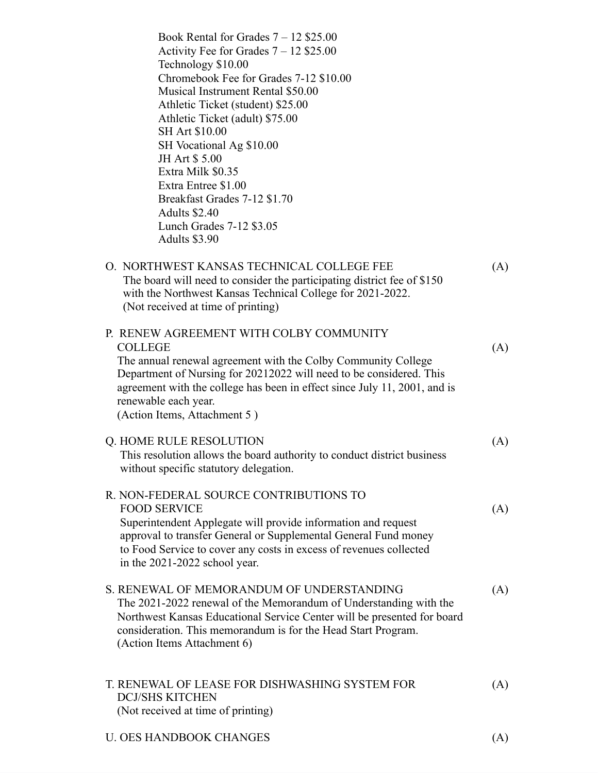| Book Rental for Grades $7 - 12$ \$25.00<br>Activity Fee for Grades $7 - 12$ \$25.00<br>Technology \$10.00<br>Chromebook Fee for Grades 7-12 \$10.00<br>Musical Instrument Rental \$50.00<br>Athletic Ticket (student) \$25.00<br>Athletic Ticket (adult) \$75.00<br><b>SH Art \$10.00</b><br>SH Vocational Ag \$10.00<br>JH Art \$5.00<br>Extra Milk \$0.35<br>Extra Entree \$1.00<br>Breakfast Grades 7-12 \$1.70<br>Adults \$2.40<br>Lunch Grades 7-12 \$3.05<br>Adults \$3.90 |     |
|----------------------------------------------------------------------------------------------------------------------------------------------------------------------------------------------------------------------------------------------------------------------------------------------------------------------------------------------------------------------------------------------------------------------------------------------------------------------------------|-----|
| O. NORTHWEST KANSAS TECHNICAL COLLEGE FEE<br>The board will need to consider the participating district fee of \$150<br>with the Northwest Kansas Technical College for 2021-2022.<br>(Not received at time of printing)                                                                                                                                                                                                                                                         | (A) |
| P. RENEW AGREEMENT WITH COLBY COMMUNITY<br><b>COLLEGE</b><br>The annual renewal agreement with the Colby Community College<br>Department of Nursing for 20212022 will need to be considered. This<br>agreement with the college has been in effect since July 11, 2001, and is<br>renewable each year.<br>(Action Items, Attachment 5)                                                                                                                                           | (A) |
| Q. HOME RULE RESOLUTION<br>This resolution allows the board authority to conduct district business<br>without specific statutory delegation.                                                                                                                                                                                                                                                                                                                                     | (A) |
| R. NON-FEDERAL SOURCE CONTRIBUTIONS TO<br><b>FOOD SERVICE</b><br>Superintendent Applegate will provide information and request<br>approval to transfer General or Supplemental General Fund money<br>to Food Service to cover any costs in excess of revenues collected<br>in the 2021-2022 school year.                                                                                                                                                                         | (A) |
| S. RENEWAL OF MEMORANDUM OF UNDERSTANDING<br>The 2021-2022 renewal of the Memorandum of Understanding with the<br>Northwest Kansas Educational Service Center will be presented for board<br>consideration. This memorandum is for the Head Start Program.<br>(Action Items Attachment 6)                                                                                                                                                                                        | (A) |
| T. RENEWAL OF LEASE FOR DISHWASHING SYSTEM FOR<br><b>DCJ/SHS KITCHEN</b><br>(Not received at time of printing)                                                                                                                                                                                                                                                                                                                                                                   | (A) |